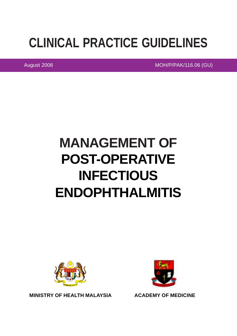# **CLINICAL PRACTICE GUIDELINES**

August 2006 MOH/P/PAK/116.06 (GU)

# **MANAGEMENT OF POST-OPERATIVE INFECTIOUS ENDOPHTHALMITIS**





**ACADEMY OF MEDICINE**

**MINISTRY OF HEALTH MALAYSIA**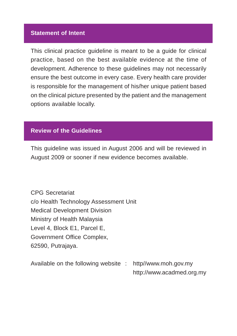#### **Statement of Intent**

This clinical practice guideline is meant to be a guide for clinical practice, based on the best available evidence at the time of development. Adherence to these guidelines may not necessarily ensure the best outcome in every case. Every health care provider is responsible for the management of his/her unique patient based on the clinical picture presented by the patient and the management options available locally.

## **Review of the Guidelines**

This guideline was issued in August 2006 and will be reviewed in August 2009 or sooner if new evidence becomes available.

CPG Secretariat c/o Health Technology Assessment Unit Medical Development Division Ministry of Health Malaysia Level 4, Block E1, Parcel E, Government Office Complex, 62590, Putrajaya.

Available on the following website : http//www.moh.gov.my http://www.acadmed.org.my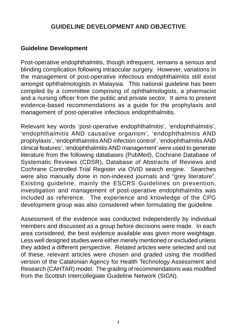# **GUIDELINE DEVELOPMENT AND OBJECTIVE**

### **Guideline Development**

Post-operative endophthalmitis, though infrequent, remains a serious and blinding complication following intraocular surgery. However, variations in the management of post-operative infectious endophthalmitis still exist amongst ophthalmologists in Malaysia. This national guideline has been compiled by a committee comprising of ophthalmologists, a pharmacist and a nursing officer from the public and private sector. It aims to present evidence-based recommendations as a guide for the prophylaxis and management of post-operative infectious endophthalmitis.

Relevant key words 'post-operative endophthalmitis', 'endophthalmitis', 'endophthalmitis AND causative organism', 'endophthalmitis AND prophylaxis', 'endophthalmitis AND infection control', 'endophthalmitis AND clinical features', 'endophthalmitis AND management' were used to generate literature from the following databases (PubMed), Cochrane Database of Systematic Reviews (CDSR), Database of Abstracts of Reviews and Cochrane Controlled Trial Register via OVID search engine. Searches were also manually done in non-indexed journals and "grey literature". Existing guideline, mainly the ESCRS Guidelines on prevention, investigation and management of post-operative endophthalmitis was included as reference. The experience and knowledge of the CPG development group was also considered when formulating the guideline.

Assessment of the evidence was conducted independently by individual members and discussed as a group before decisions were made. In each area considered, the best evidence available was given more weightage. Less well designed studies were either merely mentioned or excluded unless they added a different perspective. Related articles were selected and out of these, relevant articles were chosen and graded using the modified version of the Catalonian Agency for Health Technology Assessment and Research (CAHTAR) model. The grading of recommendations was modified from the Scottish Intercollegiate Guideline Network (SIGN).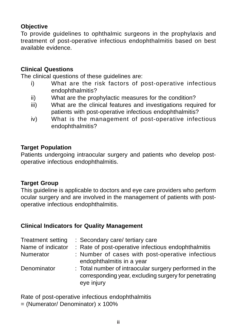## **Objective**

To provide guidelines to ophthalmic surgeons in the prophylaxis and treatment of post-operative infectious endophthalmitis based on best available evidence.

## **Clinical Questions**

The clinical questions of these guidelines are:

- i) What are the risk factors of post-operative infectious endophthalmitis?
- ii) What are the prophylactic measures for the condition?
- iii) What are the clinical features and investigations required for patients with post-operative infectious endophthalmitis?
- iv) What is the management of post-operative infectious endophthalmitis?

#### **Target Population**

Patients undergoing intraocular surgery and patients who develop postoperative infectious endophthalmitis.

#### **Target Group**

This guideline is applicable to doctors and eye care providers who perform ocular surgery and are involved in the management of patients with postoperative infectious endophthalmitis.

#### **Clinical Indicators for Quality Management**

| Treatment setting | : Secondary care/ tertiary care                                                                                               |
|-------------------|-------------------------------------------------------------------------------------------------------------------------------|
| Name of indicator | : Rate of post-operative infectious endophthalmitis                                                                           |
| Numerator         | : Number of cases with post-operative infectious<br>endophthalmitis in a year                                                 |
| Denominator       | : Total number of intraocular surgery performed in the<br>corresponding year, excluding surgery for penetrating<br>eye injury |

Rate of post-operative infectious endophthalmitis

= (Numerator/ Denominator) x 100%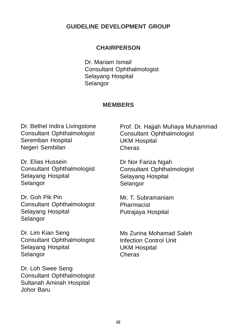#### **GUIDELINE DEVELOPMENT GROUP**

#### **CHAIRPERSON**

Dr. Mariam Ismail Consultant Ophthalmologist Selayang Hospital **Selangor** 

#### **MEMBERS**

Dr. Bethel Indira Livingstone Consultant Ophthalmologist Seremban Hospital Negeri Sembilan

Dr. Elias Hussein Consultant Ophthalmologist Selayang Hospital Selangor

Dr. Goh Pik Pin Consultant Ophthalmologist Selayang Hospital Selangor

Dr. Lim Kian Seng Consultant Ophthalmologist Selayang Hospital Selangor

Dr. Loh Swee Seng Consultant Ophthalmologist Sultanah Aminah Hospital Johor Baru

Prof. Dr. Hajjah Muhaya Muhammad Consultant Ophthalmologist UKM Hospital Cheras

Dr Nor Fariza Ngah Consultant Ophthalmologist Selayang Hospital **Selangor** 

Mr. T. Subramaniam Pharmacist Putrajaya Hospital

Ms Zurina Mohamad Saleh Infection Control Unit UKM Hospital Cheras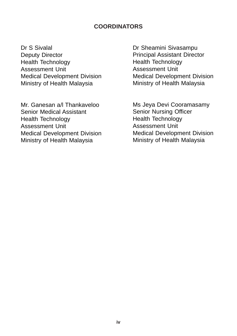#### **COORDINATORS**

Dr S Sivalal Deputy Director Health Technology Assessment Unit Medical Development Division Ministry of Health Malaysia

Mr. Ganesan a/l Thankaveloo Senior Medical Assistant Health Technology Assessment Unit Medical Development Division Ministry of Health Malaysia

Dr Sheamini Sivasampu Principal Assistant Director Health Technology Assessment Unit Medical Development Division Ministry of Health Malaysia

Ms Jeya Devi Cooramasamy Senior Nursing Officer Health Technology Assessment Unit Medical Development Division Ministry of Health Malaysia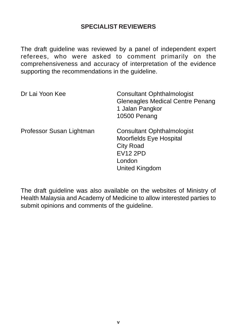# **SPECIALIST REVIEWERS**

The draft guideline was reviewed by a panel of independent expert referees, who were asked to comment primarily on the comprehensiveness and accuracy of interpretation of the evidence supporting the recommendations in the guideline.

| Dr Lai Yoon Kee          | <b>Consultant Ophthalmologist</b><br><b>Gleneagles Medical Centre Penang</b><br>1 Jalan Pangkor<br>10500 Penang                 |
|--------------------------|---------------------------------------------------------------------------------------------------------------------------------|
| Professor Susan Lightman | <b>Consultant Ophthalmologist</b><br>Moorfields Eye Hospital<br><b>City Road</b><br><b>EV12 2PD</b><br>London<br>United Kingdom |

The draft guideline was also available on the websites of Ministry of Health Malaysia and Academy of Medicine to allow interested parties to submit opinions and comments of the guideline.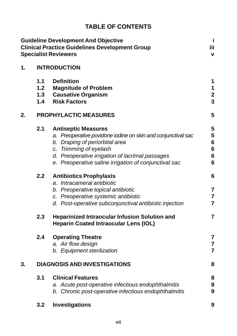# **TABLE OF CONTENTS**

|    |                            | <b>Guideline Development And Objective</b><br><b>Clinical Practice Guidelines Development Group</b><br><b>Specialist Reviewers</b>                                                                                                                                                                                                                                       | j<br>ijΪ<br>V                                      |
|----|----------------------------|--------------------------------------------------------------------------------------------------------------------------------------------------------------------------------------------------------------------------------------------------------------------------------------------------------------------------------------------------------------------------|----------------------------------------------------|
| 1. |                            | <b>INTRODUCTION</b>                                                                                                                                                                                                                                                                                                                                                      |                                                    |
|    | 1.1<br>$1.2$<br>1.3<br>1.4 | <b>Definition</b><br><b>Magnitude of Problem</b><br><b>Causative Organism</b><br><b>Risk Factors</b>                                                                                                                                                                                                                                                                     | 1<br>1<br>$\overline{\mathbf{c}}$<br>3             |
| 2. |                            | <b>PROPHYLACTIC MEASURES</b>                                                                                                                                                                                                                                                                                                                                             | 5                                                  |
|    | 2.1<br>2.2                 | <b>Antiseptic Measures</b><br>a. Preoperative povidone iodine on skin and conjunctival sac<br>b. Draping of periorbital area<br>c. Trimming of eyelash<br>d. Preoperative irrigation of lacrimal passages<br>e. Preoperative saline irrigation of conjunctival sac<br><b>Antibiotics Prophylaxis</b><br>a. Intracameral antibiotic<br>b. Preoperative topical antibiotic | 5<br>5<br>6<br>$6\phantom{1}6$<br>6<br>6<br>6<br>7 |
|    |                            | c. Preoperative systemic antibiotic<br>d. Post-operative subconjunctival antibiotic injection                                                                                                                                                                                                                                                                            | 7<br>7                                             |
|    | 2.3                        | <b>Heparinized Intraocular Infusion Solution and</b><br><b>Heparin Coated Intraocular Lens (IOL)</b>                                                                                                                                                                                                                                                                     | $\overline{7}$                                     |
|    | 2.4                        | <b>Operating Theatre</b><br>a. Air flow design<br>b. Equipment sterilization                                                                                                                                                                                                                                                                                             | 7<br>7<br>$\overline{7}$                           |
| 3. |                            | <b>DIAGNOSIS AND INVESTIGATIONS</b>                                                                                                                                                                                                                                                                                                                                      | 8                                                  |
|    | 3.1                        | <b>Clinical Features</b><br>a. Acute post-operative infectious endophthalmitis<br>b. Chronic post-operative infectious endophthalmitis                                                                                                                                                                                                                                   | 8<br>8<br>9                                        |
|    | 3.2                        | Investigations                                                                                                                                                                                                                                                                                                                                                           | 9                                                  |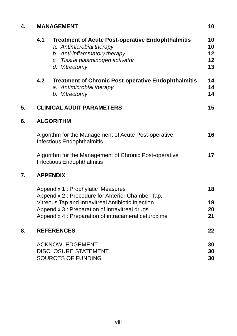| 4. |     | <b>MANAGEMENT</b>                                                                                                                                                                                                                                    | 10                         |
|----|-----|------------------------------------------------------------------------------------------------------------------------------------------------------------------------------------------------------------------------------------------------------|----------------------------|
|    | 4.1 | <b>Treatment of Acute Post-operative Endophthalmitis</b><br>a. Antimicrobial therapy<br>b. Anti-inflammatory therapy<br>c. Tissue plasminogen activator<br>d. Vitrectomy                                                                             | 10<br>10<br>12<br>12<br>13 |
|    | 4.2 | <b>Treatment of Chronic Post-operative Endophthalmitis</b><br>a. Antimicrobial therapy<br>b. Vitrectomy                                                                                                                                              | 14<br>14<br>14             |
| 5. |     | <b>CLINICAL AUDIT PARAMETERS</b>                                                                                                                                                                                                                     | 15                         |
| 6. |     | <b>ALGORITHM</b>                                                                                                                                                                                                                                     |                            |
|    |     | Algorithm for the Management of Acute Post-operative<br><b>Infectious Endophthalmitis</b>                                                                                                                                                            | 16                         |
|    |     | Algorithm for the Management of Chronic Post-operative<br><b>Infectious Endophthalmitis</b>                                                                                                                                                          | 17                         |
| 7. |     | <b>APPENDIX</b>                                                                                                                                                                                                                                      |                            |
|    |     | Appendix 1 : Prophylatic Measures<br>Appendix 2 : Procedure for Anterior Chamber Tap,<br>Vitreous Tap and Intravitreal Antibiotic Injection<br>Appendix 3 : Preparation of intravitreal drugs<br>Appendix 4 : Preparation of intracameral cefuroxime | 18<br>19<br>20<br>21       |
| 8. |     | <b>REFERENCES</b>                                                                                                                                                                                                                                    | 22                         |
|    |     | <b>ACKNOWLEDGEMENT</b><br><b>DISCLOSURE STATEMENT</b><br><b>SOURCES OF FUNDING</b>                                                                                                                                                                   | 30<br>30<br>30             |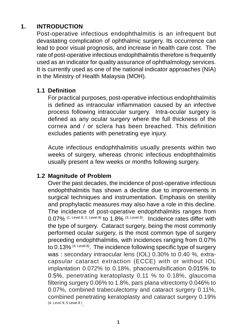# **1. INTRODUCTION**

Post-operative infectious endophthalmitis is an infrequent but devastating complication of ophthalmic surgery. Its occurrence can lead to poor visual prognosis, and increase in health care cost. The rate of post-operative infectious endophthalmitis therefore is frequently used as an indicator for quality assurance of ophthalmology services. It is currently used as one of the national indicator approaches (NIA) in the Ministry of Health Malaysia (MOH).

### **1.1 Definition**

For practical purposes, post-operative infectious endophthalmitis is defined as intraocular inflammation caused by an infective process following intraocular surgery. Intra-ocular surgery is defined as any ocular surgery where the full thickness of the cornea and / or sclera has been breached. This definition excludes patients with penetrating eye injury.

Acute infectious endophthalmitis usually presents within two weeks of surgery, whereas chronic infectious endophthalmitis usually present a few weeks or months following surgery.

#### **1.2 Magnitude of Problem**

Over the past decades, the incidence of post-operative infectious endophthalmitis has shown a decline due to improvements in surgical techniques and instrumentation. Emphasis on sterility and prophylactic measures may also have a role in this decline. The incidence of post-operative endophthalmitis ranges from  $0.07\%$  (1, Level 8; 2, Level 8) to 1.8% (3, Level 8). Incidence rates differ with the type of surgery. Cataract surgery, being the most commonly performed ocular surgery, is the most common type of surgery preceding endophthalmitis, with incidences ranging from 0.07% to 0.13% (4, Level 8). The incidence following specific type of surgery was : secondary intraocular lens (IOL) 0.30% to 0.40 %, extracapsular cataract extraction (ECCE) with or without IOL implantation 0.072% to 0.18%, phacoemulsification 0.015% to 0.5%, penetrating keratoplasty 0.11 % to 0.18%, glaucoma filtering surgery 0.06% to 1.8%, pars plana vitrectomy 0.046% to 0.07%, combined trabeculectomy and cataract surgery 0.11%, combined penetrating keratoplasty and cataract surgery 0.19% (4, Level 9, 5 Level 8 ) .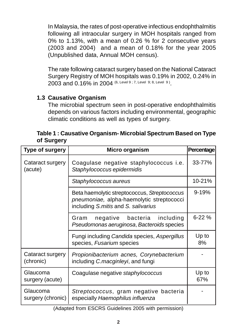In Malaysia, the rates of post-operative infectious endophthalmitis following all intraocular surgery in MOH hospitals ranged from 0% to 1.13%, with a mean of 0.26 % for 2 consecutive years (2003 and 2004) and a mean of 0.18% for the year 2005 (Unpublished data, Annual MOH census).

The rate following cataract surgery based on the National Cataract Surgery Registry of MOH hospitals was 0.19% in 2002, 0.24% in 2003 and 0.16% in 2004 (6, Level 9; 7, Level 9; 8, Level 9)

# **1.3 Causative Organism**

The microbial spectrum seen in post-operative endophthalmitis depends on various factors including environmental, geographic climatic conditions as well as types of surgery.

| Table 1: Causative Organism- Microbial Spectrum Based on Type |  |
|---------------------------------------------------------------|--|
| of Surgery                                                    |  |

| <b>Type of surgery</b>        | Micro organism                                                                                                                   | Percentage   |
|-------------------------------|----------------------------------------------------------------------------------------------------------------------------------|--------------|
| Cataract surgery<br>(acute)   | Coagulase negative staphylococcus i.e.<br>Staphylococcus epidermidis                                                             | 33-77%       |
|                               | Staphylococcus aureus                                                                                                            | 10-21%       |
|                               | Beta haemolytic streptococcus, Streptococcus<br>pneumoniae, alpha-haemolytic streptococci<br>including S.mitis and S. salivarius | $9 - 19%$    |
|                               | negative bacteria including<br>Gram<br>Pseudomonas aeruginosa, Bacteroids species                                                | $6 - 22%$    |
|                               | Fungi including Candida species, Aspergillus<br>species, Fusarium species                                                        | Up to<br>8%  |
| Cataract surgery<br>(chronic) | Propionibacterium acnes, Corynebacterium<br>including C.macginleyi, and fungi                                                    |              |
| Glaucoma<br>surgery (acute)   | Coagulase negative staphylococcus                                                                                                | Up to<br>67% |
| Glaucoma<br>surgery (chronic) | Streptococcus, gram negative bacteria<br>especially Haemophilus influenza                                                        |              |

(Adapted from ESCRS Guidelines 2005 with permission)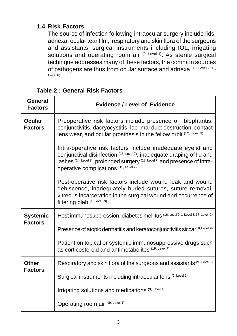## **1.4 Risk Factors**

The source of infection following intraocular surgery include lids, adnexa, ocular tear film, respiratory and skin flora of the surgeons and assistants, surgical instruments including IOL, irrigating solutions and operating room air (9, Level 1). As sterile surgical technique addresses many of these factors, the common sources of pathogens are thus from ocular surface and adnexa (10, Level 2; 11, Level 8)

### **Table 2 : General Risk Factors**

| <b>General</b><br><b>Factors</b>  | <b>Evidence / Level of Evidence</b>                                                                                                                                                                                                                           |
|-----------------------------------|---------------------------------------------------------------------------------------------------------------------------------------------------------------------------------------------------------------------------------------------------------------|
| <b>Ocular</b><br><b>Factors</b>   | Preoperative risk factors include presence of blepharitis,<br>conjunctivitis, dacryocystitis, lacrimal duct obstruction, contact<br>lens wear, and ocular prosthesis in the fellow orbit (12, Level 9)                                                        |
|                                   | Intra-operative risk factors include inadequate eyelid and<br>conjunctival disinfection (13, Level 7), inadequate draping of lid and<br>lashes (14, Level 9), prolonged surgery (13, Level 7) and presence of intra-<br>operative complications (15, Level 7) |
|                                   | Post-operative risk factors include wound leak and wound<br>dehiscence, inadequately buried sutures, suture removal,<br>vitreous incarceration in the surgical wound and occurrence of<br>filtering bleb (4, Level 9)                                         |
| <b>Systemic</b><br><b>Factors</b> | Host immunosuppression, diabetes mellitus (16, Level 7; 1 Level 8, 17, Level 2)                                                                                                                                                                               |
|                                   | Presence of atopic dermatitis and keratoconjunctivitis sicca (18, Level 9)                                                                                                                                                                                    |
|                                   | Patient on topical or systemic immunosuppressive drugs such<br>as corticosteroid and antimetabolites (19, Level 7)                                                                                                                                            |
| Other                             | Respiratory and skin flora of the surgeons and assistants (9, Level 1)                                                                                                                                                                                        |
| <b>Factors</b>                    | Surgical instruments including intraocular lens (9, Level 1)                                                                                                                                                                                                  |
|                                   | Irrigating solutions and medications (9, Level 1)                                                                                                                                                                                                             |
|                                   | Operating room air (9, Level 1)                                                                                                                                                                                                                               |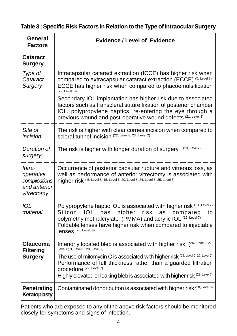|  |  |  | Table 3 : Specific Risk Factors In Relation to the Type of Intraocular Surgery |  |  |  |
|--|--|--|--------------------------------------------------------------------------------|--|--|--|
|--|--|--|--------------------------------------------------------------------------------|--|--|--|

| General<br><b>Factors</b>                                          | <b>Evidence / Level of Evidence</b>                                                                                                                                                                                                                                                                                                                                             |
|--------------------------------------------------------------------|---------------------------------------------------------------------------------------------------------------------------------------------------------------------------------------------------------------------------------------------------------------------------------------------------------------------------------------------------------------------------------|
| Cataract<br><b>Surgery</b>                                         |                                                                                                                                                                                                                                                                                                                                                                                 |
| Type of<br>Cataract<br>Surgery                                     | Intracapsular cataract extraction (ICCE) has higher risk when<br>compared to extracapsular cataract extraction (ECCE) (5, Level 8)<br>ECCE has higher risk when compared to phacoemulsification<br>$(20, \text{Level } 8)$<br>Secondary IOL implantation has higher risk due to associated<br>factors such as transcleral suture fixation of posterior chamber                  |
|                                                                    | IOL, polypropylene haptics, re-entering the eye through a<br>previous wound and post-operative wound defects (21, Level 8)                                                                                                                                                                                                                                                      |
| Site of<br>incision                                                | The risk is higher with clear cornea incision when compared to<br>Scleral tunnel incision (22, Level 8; 23, Level 2)                                                                                                                                                                                                                                                            |
| Duration of<br>surgery                                             | $(13, \text{Level7})$<br>The risk is higher with longer duration of surgery                                                                                                                                                                                                                                                                                                     |
| Intra-<br>operative<br>complications<br>and anterior<br>vitrectomy | Occurrence of posterior capsular rupture and vitreous loss, as<br>well as performance of anterior vitrectomy is associated with<br>higher risk (5, Level 8; 15, Level 6; 20, Level 8; 24, Level 8; 25, Level 8)                                                                                                                                                                 |
| <b>IOL</b><br>material                                             | Polypropylene haptic IOL is associated with higher risk (13, Level 7)<br>Silicon<br>IOL<br>has<br>higher<br>risk<br>as<br>compared<br>to<br>polymethylmethalcrylate (PMMA) and acrylic IOL (15, Level 7)<br>Foldable lenses have higher risk when compared to injectable<br>lenses (20, Level 8)                                                                                |
| Glaucoma<br><b>Filtering</b><br><b>Surgery</b>                     | Inferiorly located bleb is associated with higher risk. (26, Level 9; 27,<br>Level 8; 3, Level 8; 28, Level 7)<br>The use of mitomycin C is associated with higher risk (26, Level 9; 29, Level 7)<br>Performance of full thickness rather than a guarded filtration<br>Drocedure (29, Level 7)<br>Highly elevated or leaking bleb is associated with higher risk (29, Level 7) |
| Penetrating<br>Keratoplasty                                        | Contaminated donor button is associated with higher risk (30, Level 8)                                                                                                                                                                                                                                                                                                          |

Patients who are exposed to any of the above risk factors should be monitored closely for symptoms and signs of infection.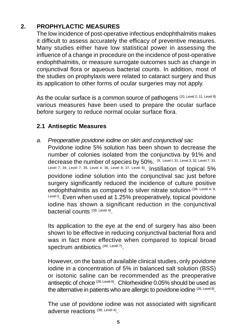# **2. PROPHYLACTIC MEASURES**

The low incidence of post-operative infectious endophthalmitis makes it difficult to assess accurately the efficacy of preventive measures. Many studies either have low statistical power in assessing the influence of a change in procedure on the incidence of post-operative endophthalmitis, or measure surrogate outcomes such as change in conjunctival flora or aqueous bacterial counts. In addition, most of the studies on prophylaxis were related to cataract surgery and thus its application to other forms of ocular surgeries may not apply.

As the ocular surface is a common source of pathogens (10, Level 2; 11, Level 8) various measures have been used to prepare the ocular surface before surgery to reduce normal ocular surface flora.

# **2.1 Antiseptic Measures**

a. Preoperative povidone iodine on skin and conjunctival sac Povidone iodine 5% solution has been shown to decrease the number of colonies isolated from the conjunctiva by 91% and decrease the number of species by 50%. (9, Level I; 31, Level 3; 32, Level 7; 33, Level 7; 34, Level 7; 35, Level 4; 36, Level 8; 37, Level 8). Instillation of topical 5% povidone iodine solution into the conjunctival sac just before surgery significantly reduced the incidence of culture positive endophthalmitis as compared to silver nitrate solution (38, Level 4; 9, Level I). Even when used at 1.25% preoperatively, topical povidone iodine has shown a significant reduction in the conjunctival bacterial counts (39, Level 4).

Its application to the eye at the end of surgery has also been shown to be effective in reducing conjunctival bacterial flora and was in fact more effective when compared to topical broad spectrum antibiotics (40, Level 7).

However, on the basis of available clinical studies, only povidone iodine in a concentration of 5% in balanced salt solution (BSS) or isotonic saline can be recommended as the preoperative antiseptic of choice <sup>(26, Level 9)</sup>. Chlorhexidine 0.05% should be used as the alternative in patients who are allergic to povidone iodine (26, Level 9).

The use of povidone iodine was not associated with significant adverse reactions (38, Level 4).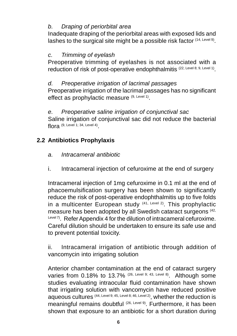## b. Draping of periorbital area

Inadequate draping of the periorbital areas with exposed lids and lashes to the surgical site might be a possible risk factor (14, Level 9).

#### c. Trimming of eyelash

Preoperative trimming of eyelashes is not associated with a reduction of risk of post-operative endophthalmitis (22, Level 8; 9, Level 1).

## d. Preoperative irrigation of lacrimal passages

Preoperative irrigation of the lacrimal passages has no significant effect as prophylactic measure (9, Level 1).

## e. Preoperative saline irrigation of conjunctival sac

Saline irrigation of conjunctival sac did not reduce the bacterial flora  $(9, \text{Level 1}; 34, \text{Level 4})$ 

# **2.2 Antibiotics Prophylaxis**

### a. Intracameral antibiotic

i. Intracameral injection of cefuroxime at the end of surgery

Intracameral injection of 1mg cefuroxime in 0.1 ml at the end of phacoemulsification surgery has been shown to significantly reduce the risk of post-operative endophthalmitis up to five folds in a multicenter European study  $(41, \text{Level 2})$ . This prophylactic measure has been adopted by all Swedish cataract surgeons (42, Level 7). Refer Appendix 4 for the dilution of intracameral cefuroxime. Careful dilution should be undertaken to ensure its safe use and to prevent potential toxicity.

ii. Intracameral irrigation of antibiotic through addition of vancomycin into irrigating solution

Anterior chamber contamination at the end of cataract surgery varies from 0.18% to 13.7% (26, Level 9; 43, Level 8). Although some studies evaluating intraocular fluid contamination have shown that irrigating solution with vancomycin have reduced positive aqueous cultures (44, Level 9; 45, Level 8; 46, Level 2), whether the reduction is meaningful remains doubtful <sup>(26, Level 9)</sup>. Furthermore, it has been shown that exposure to an antibiotic for a short duration during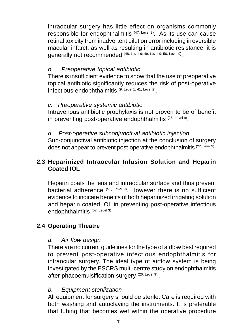intraocular surgery has little effect on organisms commonly responsible for endophthalmitis (47, Level 9). As its use can cause retinal toxicity from inadvertent dilution error including irreversible macular infarct, as well as resulting in antibiotic resistance, it is generally not recommended (48, Level 9; 49, Level 9; 50, Level 9).

## b. Preoperative topical antibiotic

There is insufficient evidence to show that the use of preoperative topical antibiotic significantly reduces the risk of post-operative infectious endophthalmitis (9, Level 1; 41, Level 2).

#### c. Preoperative systemic antibiotic

Intravenous antibiotic prophylaxis is not proven to be of benefit in preventing post-operative endophthalmitis (26, Level 9).

#### d. Post-operative subconjunctival antibiotic injection

Sub-conjunctival antibiotic injection at the conclusion of surgery does not appear to prevent post-operative endophthalmitis <sup>(22, Level 9)</sup>.

## **2.3 Heparinized Intraocular Infusion Solution and Heparin Coated IOL**

Heparin coats the lens and intraocular surface and thus prevent bacterial adherence (51, Level 9). However there is no sufficient evidence to indicate benefits of both heparinized irrigating solution and heparin coated IOL in preventing post-operative infectious endophthalmitis (52, Level 3).

## **2.4 Operating Theatre**

#### a. Air flow design

There are no current guidelines for the type of airflow best required to prevent post-operative infectious endophthalmitis for intraocular surgery. The ideal type of airflow system is being investigated by the ESCRS multi-centre study on endophthalmitis after phacoemulsification surgery (26, Level 9).

#### b. Equipment sterilization

All equipment for surgery should be sterile. Care is required with both washing and autoclaving the instruments. It is preferable that tubing that becomes wet within the operative procedure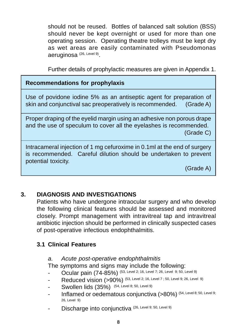should not be reused. Bottles of balanced salt solution (BSS) should never be kept overnight or used for more than one operating session. Operating theatre trolleys must be kept dry as wet areas are easily contaminated with Pseudomonas aeruginosa (26, Level 9).

Further details of prophylactic measures are given in Appendix 1.

## **Recommendations for prophylaxis**

Use of povidone iodine 5% as an antiseptic agent for preparation of skin and conjunctival sac preoperatively is recommended. (Grade A)

Proper draping of the eyelid margin using an adhesive non porous drape and the use of speculum to cover all the eyelashes is recommended. (Grade C)

Intracameral injection of 1 mg cefuroxime in 0.1ml at the end of surgery is recommended. Careful dilution should be undertaken to prevent potential toxicity.

(Grade A)

# **3. DIAGNOSIS AND INVESTIGATIONS**

Patients who have undergone intraocular surgery and who develop the following clinical features should be assessed and monitored closely. Prompt management with intravitreal tap and intravitreal antibiotic injection should be performed in clinically suspected cases of post-operative infectious endophthalmitis.

## **3.1 Clinical Features**

#### a. Acute post-operative endophthalmitis

The symptoms and signs may include the following:

- Ocular pain (74-85%) (53, Level 2; 16, Level 7; 26, Level 9; 50, Level 9)
- Reduced vision (>90%) (53, Level 2; 16, Level 7 ; 50, Level 9; 26, Level 9)
- Swollen lids (35%) (54, Level 8; 50, Level 9)
- Inflamed or oedematous conjunctiva (>80%) (54, Level 8; 50, Level 9; 26, Level 9)
- Discharge into conjunctiva (26, Level 9; 50, Level 9)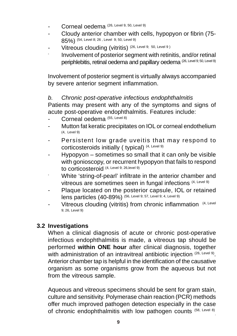- Corneal oedema (26, Level 9, 50, Level 9)
- Cloudy anterior chamber with cells, hypopyon or fibrin (75- 85%) (54, Level 8; 26 , Level 9; 50, Level 9)
- Vitreous clouding (vitritis) (26, Level 9; 50, Level 9)
- Involvement of posterior segment with retinitis, and/or retinal periphlebitis, retinal oedema and papillary oedema (26, Level 9; 50, Level 9)

Involvement of posterior segment is virtually always accompanied by severe anterior segment inflammation.

### b. Chronic post-operative infectious endophthalmitis

Patients may present with any of the symptoms and signs of acute post-operative endophthalmitis. Features include:

- Corneal oedema (55, Level 8)
- Mutton fat keratic precipitates on IOL or corneal endothelium (4, Level 9)
- Persistent low grade uveitis that may respond to corticosteroids initially ( typical) (4, Level 9)
- Hypopyon sometimes so small that it can only be visible with gonioscopy, or recurrent hypopyon that fails to respond to corticosteroid (4, Level 9; 26,level 9)
- White 'string-of-pearl' infiltrate in the anterior chamber and vitreous are sometimes seen in fungal infections (4, Level 9)
- Plaque located on the posterior capsule, IOL or retained lens particles (40-89%) (56, Level 9; 57, Level 9; 4, Level 9)
- Vitreous clouding (vitritis) from chronic inflammation (4, Level 9; 26, Level 9)

## **3.2 Investigations**

When a clinical diagnosis of acute or chronic post-operative infectious endophthalmitis is made, a vitreous tap should be performed **within ONE hour** after clinical diagnosis, together with administration of an intravitreal antibiotic injection (26, Level 9). Anterior chamber tap is helpful in the identification of the causative organism as some organisms grow from the aqueous but not from the vitreous sample.

Aqueous and vitreous specimens should be sent for gram stain, culture and sensitivity. Polymerase chain reaction (PCR) methods offer much improved pathogen detection especially in the case of chronic endophthalmitis with low pathogen counts (58, Level 8)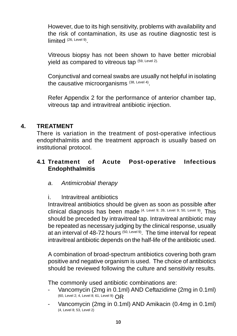However, due to its high sensitivity, problems with availability and the risk of contamination, its use as routine diagnostic test is limited (26, Level 9)

Vitreous biopsy has not been shown to have better microbial yield as compared to vitreous tap (59, Level 2).

Conjunctival and corneal swabs are usually not helpful in isolating the causative microorganisms (38, Level 4).

Refer Appendix 2 for the performance of anterior chamber tap, vitreous tap and intravitreal antibiotic injection.

### **4. TREATMENT**

There is variation in the treatment of post-operative infectious endophthalmitis and the treatment approach is usually based on institutional protocol.

## **4.1 Treatment of Acute Post-operative Infectious Endophthalmitis**

#### a. Antimicrobial therapy

#### i. Intravitreal antibiotics

Intravitreal antibiotics should be given as soon as possible after clinical diagnosis has been made (4, Level 9; 26, Level 9; 50, Level 9). This should be preceded by intravitreal tap. Intravitreal antibiotic may be repeated as necessary judging by the clinical response, usually at an interval of 48-72 hours (50, Level 9). The time interval for repeat intravitreal antibiotic depends on the half-life of the antibiotic used.

A combination of broad-spectrum antibiotics covering both gram positive and negative organism is used. The choice of antibiotics should be reviewed following the culture and sensitivity results.

The commonly used antibiotic combinations are:

- Vancomycin (2mg in 0.1ml) AND Ceftazidime (2mg in 0.1ml) (60, Level 2; 4, Level 8; 61, Level 9) OR
- Vancomycin (2mg in 0.1ml) AND Amikacin (0.4mg in 0.1ml) (4, Level 8; 53, Level 2)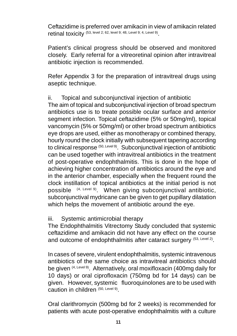Ceftazidime is preferred over amikacin in view of amikacin related retinal toxicity (53, level 2; 62, level 9; 48, Level 9; 4, Level 9).

Patient's clinical progress should be observed and monitored closely. Early referral for a vitreoretinal opinion after intravitreal antibiotic injection is recommended.

Refer Appendix 3 for the preparation of intravitreal drugs using aseptic technique.

ii. Topical and subconjunctival injection of antibiotic

The aim of topical and subconjunctival injection of broad spectrum antibiotics use is to treate possible ocular surface and anterior segment infection. Topical ceftazidime (5% or 50mg/ml), topical vancomycin (5% or 50mg/ml) or other broad spectrum antibiotics eye drops are used, either as monotherapy or combined therapy, hourly round the clock initially with subsequent tapering according to clinical response (50, Level 9). Subconjunctival injection of antibiotic can be used together with intravitreal antibiotics in the treatment of post-operative endophthalmitis. This is done in the hope of achieving higher concentration of antibiotics around the eye and in the anterior chamber, especially when the frequent round the clock instillation of topical antibiotics at the initial period is not possible (4, Level 9). When giving subconjunctival antibiotic, subconjunctival mydricane can be given to get pupillary dilatation which helps the movement of antibiotic around the eye.

#### iii. Systemic antimicrobial therapy

The Endophthalmitis Vitrectomy Study concluded that systemic ceftazidime and amikacin did not have any effect on the course and outcome of endophthalmitis after cataract surgery (53, Level 2).

In cases of severe, virulent endophthalmitis, systemic intravenous antibiotics of the same choice as intravitreal antibiotics should be given (4, Level 9). Alternatively, oral moxifloxacin (400mg daily for 10 days) or oral ciprofloxacin (750mg bd for 14 days) can be given. However, systemic fluoroquinolones are to be used with caution in children (50, Level 9).

Oral clarithromycin (500mg bd for 2 weeks) is recommended for patients with acute post-operative endophthalmitis with a culture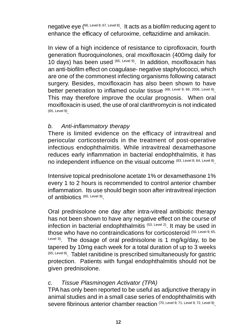negative eye (<sup>66, Level 8; 67, Level 8)</sup>. It acts as a biofilm reducing agent to enhance the efficacy of cefuroxime, ceftazidime and amikacin.

In view of a high incidence of resistance to ciprofloxacin, fourth generation fluoroquinolones, oral moxifloxacin (400mg daily for 10 days) has been used (65, Level 9). In addition, moxifloxacin has an anti-biofilm effect on coagulase- negative staphylococci, which are one of the commonest infecting organisms following cataract surgery. Besides, moxifloxacin has also been shown to have better penetration to inflamed ocular tissue (68, Level 9; 69, 2006, Level 8). This may therefore improve the ocular prognosis. When oral moxifloxacin is used, the use of oral clarithromycin is not indicated (65, Level 9).

#### b. Anti-inflammatory therapy

There is limited evidence on the efficacy of intravitreal and periocular corticosteroids in the treatment of post-operative infectious endophthalmitis. While intravitreal dexamethasone reduces early inflammation in bacterial endophthalmitis, it has no independent influence on the visual outcome (63, Level 8; 64, Level 8).

Intensive topical prednisolone acetate 1% or dexamethasone 1% every 1 to 2 hours is recommended to control anterior chamber inflammation. Its use should begin soon after intravitreal injection of antibiotics (65, Level 9).

Oral prednisolone one day after intra-vitreal antibiotic therapy has not been shown to have any negative effect on the course of infection in bacterial endophthalmitis (53, Level 2). It may be used in those who have no contraindications for corticosteroid (50, Level 9; 65, Level 9). The dosage of oral prednisolone is 1 mg/kg/day, to be tapered by 10mg each week for a total duration of up to 3 weeks (65, Level 9). Tablet ranitidine is prescribed simultaneously for gastric protection. Patients with fungal endophthalmitis should not be given prednisolone.

#### c. Tissue Plasminogen Activator (TPA)

TPA has only been reported to be useful as adjunctive therapy in animal studies and in a small case series of endophthalmitis with severe fibrinous anterior chamber reaction (70, Level 9; 71, Level 9; 72, Level 9).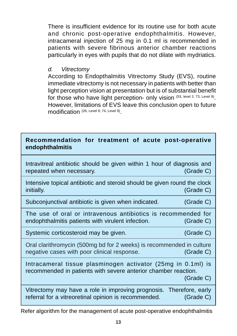There is insufficient evidence for its routine use for both acute and chronic post-operative endophthalmitis. However, intracameral injection of 25 mg in 0.1 ml is recommended in patients with severe fibrinous anterior chamber reactions particularly in eyes with pupils that do not dilate with mydriatics.

### d. Vitrectomy

According to Endopthalmitis Vitrectomy Study (EVS), routine immediate vitrectomy is not necessary in patients with better than light perception vision at presentation but is of substantial benefit for those who have light perception- only vision (53, level 2; 73, Level 9). However, limitations of EVS leave this conclusion open to future modification (26, Level 9; 74, Level 9).

## **Recommendation for treatment of acute post-operative endophthalmitis**

Intravitreal antibiotic should be given within 1 hour of diagnosis and repeated when necessary. (Grade C)

Intensive topical antibiotic and steroid should be given round the clock initially. (Grade C)

Subconjunctival antibiotic is given when indicated. (Grade C)

The use of oral or intravenous antibiotics is recommended for endophthalmitis patients with virulent infection. (Grade C)

Systemic corticosteroid may be given. (Grade C)

Oral clarithromycin (500mg bd for 2 weeks) is recommended in culture negative cases with poor clinical response. (Grade C)

Intracameral tissue plasminogen activator (25mg in 0.1ml) is recommended in patients with severe anterior chamber reaction.

(Grade C)

Vitrectomy may have a role in improving prognosis. Therefore, early referral for a vitreoretinal opinion is recommended. (Grade C)

Refer algorithm for the management of acute post-operative endophthalmitis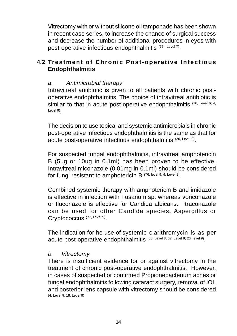Vitrectomy with or without silicone oil tamponade has been shown in recent case series, to increase the chance of surgical success and decrease the number of additional procedures in eyes with post-operative infectious endophthalmitis (75, Level 7).

## **4.2 Treatment of Chronic Post-operative Infectious Endophthalmitis**

## a. Antimicrobial therapy

Intravitreal antibiotic is given to all patients with chronic postoperative endophthalmitis. The choice of intravitreal antibiotic is similar to that in acute post-operative endophthalmitis (76, Level 6; 4, Level 9)

The decision to use topical and systemic antimicrobials in chronic post-operative infectious endophthalmitis is the same as that for acute post-operative infectious endophthalmitis<sup>(26, Level 9)</sup>.

For suspected fungal endophthalmitis, intravitreal amphotericin B (5ug or 10ug in 0.1ml) has been proven to be effective. Intravitreal miconazole (0.01mg in 0.1ml) should be considered for fungi resistant to amphotericin B (76, level 9; 4, Level 9).

Combined systemic therapy with amphotericin B and imidazole is effective in infection with Fusarium sp. whereas voriconazole or fluconazole is effective for Candida albicans. Itraconazole can be used for other Candida species, Aspergillus or Cryptococcus<sup>(77, Level 9)</sup>.

The indication for he use of systemic clarithromycin is as per acute post-operative endophthalmitis (66, Level 8; 67, Level 8; 26, level 9).

#### b. Vitrectomy

There is insufficient evidence for or against vitrectomy in the treatment of chronic post-operative endophthalmitis. However, in cases of suspected or confirmed Propionebacterium acnes or fungal endophthalmitis following cataract surgery, removal of IOL and posterior lens capsule with vitrectomy should be considered (4, Level 9; 18, Level 9).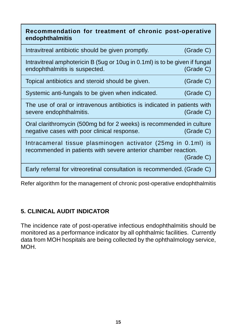| Recommendation for treatment of chronic post-operative<br>endophthalmitis                                                      |           |
|--------------------------------------------------------------------------------------------------------------------------------|-----------|
| Intravitreal antibiotic should be given promptly.                                                                              | (Grade C) |
| Intravitreal amphotericin B (5ug or 10ug in 0.1ml) is to be given if fungal<br>endophthalmitis is suspected.                   | (Grade C) |
| Topical antibiotics and steroid should be given.                                                                               | (Grade C) |
| Systemic anti-fungals to be given when indicated.                                                                              | (Grade C) |
| The use of oral or intravenous antibiotics is indicated in patients with<br>severe endophthalmitis.                            | (Grade C) |
| Oral clarithromycin (500mg bd for 2 weeks) is recommended in culture<br>negative cases with poor clinical response.            | (Grade C) |
| Intracameral tissue plasminogen activator (25mg in 0.1ml) is<br>recommended in patients with severe anterior chamber reaction. | (Grade C) |
| Early referral for vitreoretinal consultation is recommended. (Grade C)                                                        |           |

Refer algorithm for the management of chronic post-operative endophthalmitis

# **5. CLINICAL AUDIT INDICATOR**

The incidence rate of post-operative infectious endophthalmitis should be monitored as a performance indicator by all ophthalmic facilities. Currently data from MOH hospitals are being collected by the ophthalmology service, MOH.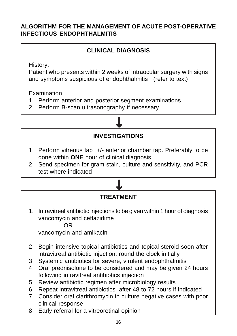## **ALGORITHM FOR THE MANAGEMENT OF ACUTE POST-OPERATIVE INFECTIOUS ENDOPHTHALMITIS**

# **CLINICAL DIAGNOSIS**

History:

Patient who presents within 2 weeks of intraocular surgery with signs and symptoms suspicious of endophthalmitis (refer to text)

**Examination** 

- 1. Perform anterior and posterior segment examinations
- 2. Perform B-scan ultrasonography if necessary



<u>し</u>

- 1. Perform vitreous tap +/- anterior chamber tap. Preferably to be done within **ONE** hour of clinical diagnosis
- 2. Send specimen for gram stain, culture and sensitivity, and PCR test where indicated

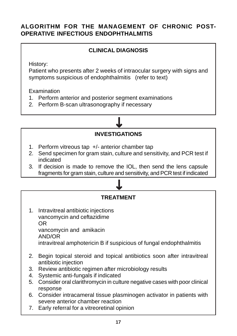## **ALGORITHM FOR THE MANAGEMENT OF CHRONIC POST-OPERATIVE INFECTIOUS ENDOPHTHALMITIS**

## **CLINICAL DIAGNOSIS**

History:

Patient who presents after 2 weeks of intraocular surgery with signs and symptoms suspicious of endophthalmitis (refer to text)

**Examination** 

- 1. Perform anterior and posterior segment examinations
- 2. Perform B-scan ultrasonography if necessary



- 1. Perform vitreous tap +/- anterior chamber tap
- 2. Send specimen for gram stain, culture and sensitivity, and PCR test if indicated
- 3. If decision is made to remove the IOL, then send the lens capsule fragments for gram stain, culture and sensitivity, and PCR test if indicated

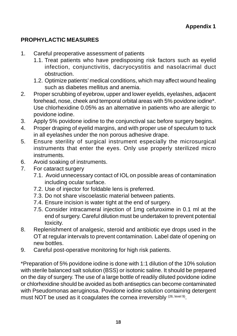## **PROPHYLACTIC MEASURES**

- 1. Careful preoperative assessment of patients
	- 1.1. Treat patients who have predisposing risk factors such as eyelid infection, conjunctivitis, dacryocystitis and nasolacrimal duct obstruction.
	- 1.2. Optimize patients' medical conditions, which may affect wound healing such as diabetes mellitus and anemia.
- 2. Proper scrubbing of eyebrow, upper and lower eyelids, eyelashes, adjacent forehead, nose, cheek and temporal orbital areas with 5% povidone iodine\*. Use chlorhexidine 0.05% as an alternative in patients who are allergic to povidone iodine.
- 3. Apply 5% povidone iodine to the conjunctival sac before surgery begins.
- 4. Proper draping of eyelid margins, and with proper use of speculum to tuck in all eyelashes under the non porous adhesive drape.
- 5. Ensure sterility of surgical instrument especially the microsurgical instruments that enter the eyes. Only use properly sterilized micro instruments.
- 6. Avoid soaking of instruments.
- 7. For cataract surgery
	- 7.1. Avoid unnecessary contact of IOL on possible areas of contamination including ocular surface.
	- 7.2. Use of injector for foldable lens is preferred.
	- 7.3. Do not share viscoelastic material between patients.
	- 7.4. Ensure incision is water tight at the end of surgery.
	- 7.5. Consider intracameral injection of 1mg cefuroxime in 0.1 ml at the end of surgery. Careful dilution must be undertaken to prevent potential toxicity.
- 8. Replenishment of analgesic, steroid and antibiotic eye drops used in the OT at regular intervals to prevent contamination. Label date of opening on new bottles.
- 9. Careful post-operative monitoring for high risk patients.

\*Preparation of 5% povidone iodine is done with 1:1 dilution of the 10% solution with sterile balanced salt solution (BSS) or isotonic saline. It should be prepared on the day of surgery. The use of a large bottle of readily diluted povidone iodine or chlorhexidine should be avoided as both antiseptics can become contaminated with Pseudomonas aeruginosa. Povidone iodine solution containing detergent must NOT be used as it coagulates the cornea irreversibly (26, level 9).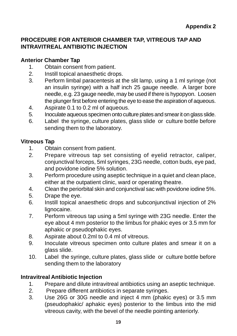### **PROCEDURE FOR ANTERIOR CHAMBER TAP, VITREOUS TAP AND INTRAVITREAL ANTIBIOTIC INJECTION**

#### **Anterior Chamber Tap**

- 1. Obtain consent from patient.
- 2. Instill topical anaesthetic drops.
- 3. Perform limbal paracentesis at the slit lamp, using a 1 ml syringe (not an insulin syringe) with a half inch 25 gauge needle. A larger bore needle, e.g. 23 gauge needle, may be used if there is hypopyon. Loosen the plunger first before entering the eye to ease the aspiration of aqueous.
- 4. Aspirate 0.1 to 0.2 ml of aqueous.
- 5. Inoculate aqueous specimen onto culture plates and smear it on glass slide.
- 6. Label the syringe, culture plates, glass slide or culture bottle before sending them to the laboratory.

#### **Vitreous Tap**

- 1. Obtain consent from patient.
- 2. Prepare vitreous tap set consisting of eyelid retractor, caliper, conjunctival forceps, 5ml syringes, 23G needle, cotton buds, eye pad, and povidone iodine 5% solution.
- 3. Perform procedure using aseptic technique in a quiet and clean place, either at the outpatient clinic, ward or operating theatre.
- 4. Clean the periorbital skin and conjunctival sac with povidone iodine 5%.
- 5. Drape the eye.
- 6. Instill topical anaesthetic drops and subconjunctival injection of 2% lignocaine.
- 7. Perform vitreous tap using a 5ml syringe with 23G needle. Enter the eye about 4 mm posterior to the limbus for phakic eyes or 3.5 mm for aphakic or pseudophakic eyes.
- 8. Aspirate about 0.2ml to 0.4 ml of vitreous.
- 9. Inoculate vitreous specimen onto culture plates and smear it on a glass slide.
- 10. Label the syringe, culture plates, glass slide or culture bottle before sending them to the laboratory

#### **Intravitreal Antibiotic Injection**

- 1. Prepare and dilute intravitreal antibiotics using an aseptic technique.
- 2. Prepare different antibiotics in separate syringes.
- 3. Use 26G or 30G needle and inject 4 mm (phakic eyes) or 3.5 mm (pseudophakic/ aphakic eyes) posterior to the limbus into the mid vitreous cavity, with the bevel of the needle pointing anteriorly.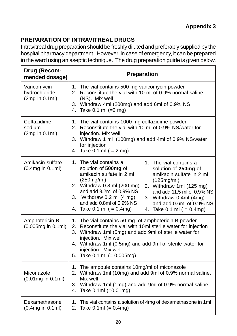# **PREPARATION OF INTRAVITREAL DRUGS**

Intravitreal drug preparation should be freshly diluted and preferably supplied by the hospital pharmacy department. However, in case of emergency, it can be prepared in the ward using an aseptic technique. The drug preparation guide is given below.

| Drug (Recom-<br>mended dosage)                | Preparation                                                                                                                                                                                                                                                                                                                                                                                                                                                                                               |
|-----------------------------------------------|-----------------------------------------------------------------------------------------------------------------------------------------------------------------------------------------------------------------------------------------------------------------------------------------------------------------------------------------------------------------------------------------------------------------------------------------------------------------------------------------------------------|
| Vancomycin<br>hydrochloride<br>(2mg in 0.1ml) | 1. The vial contains 500 mg vancomycin powder<br>2. Reconstitute the vial with 10 ml of 0.9% normal saline<br>(NS). Mix well<br>3. Withdraw 4ml (200mg) and add 6ml of 0.9% NS<br>4. Take 0.1 ml (=2 mg)                                                                                                                                                                                                                                                                                                  |
| Ceftazidime<br>sodium<br>(2mg in 0.1ml)       | 1. The vial contains 1000 mg ceftazidime powder.<br>2. Reconstitute the vial with 10 ml of 0.9% NS/water for<br>injection. Mix well<br>3. Withdraw 1 ml (100mg) and add 4ml of 0.9% NS/water<br>for injection<br>4. Take 0.1 ml $( = 2$ mg)                                                                                                                                                                                                                                                               |
| Amikacin sulfate<br>(0.4mg in 0.1ml)          | 1. The vial contains a<br>1. The vial contains a<br>solution of 500mg of<br>solution of 250mg of<br>amikacin sulfate in 2 ml<br>amikacin sulfate in 2 ml<br>(250mg/ml)<br>(125mg/ml)<br>2. Withdraw 0.8 ml (200 mg)<br>2. Withdraw 1ml (125 mg)<br>and add 9.2ml of 0.9% NS<br>and add 11.5 ml of 0.9% NS<br>3. Withdraw $0.2$ ml $(4 \text{ mg})$<br>3. Withdraw 0.4ml (4mg)<br>and add 0.8ml of 0.9% NS<br>and add 0.6ml of 0.9% NS<br>4. Take $0.1$ ml ( = $0.4$ mg)<br>4. Take $0.1$ ml ( = $0.4$ mg) |
| Amphotericin B<br>(0.005mg in 0.1ml)          | 1. The vial contains 50-mg of amphotericin B powder<br>2. Reconstitute the vial with 10ml sterile water for injection<br>3. Withdraw 1ml (5mg) and add 9ml of sterile water for<br>injection. Mix well<br>4. Withdraw 1ml (0.5mg) and add 9ml of sterile water for<br>injection. Mix well<br>5. Take $0.1$ ml (= $0.005$ mg)                                                                                                                                                                              |
| Miconazole<br>(0.01mg in 0.1ml)               | 1. The ampoule contains 10mg/ml of miconazole<br>2. Withdraw 1ml (10mg) and add 9ml of 0.9% normal saline.<br>Mix well<br>3. Withdraw 1ml (1mg) and add 9ml of 0.9% normal saline<br>4. Take 0.1ml (=0.01mg)                                                                                                                                                                                                                                                                                              |
| Dexamethasone<br>(0.4mg in 0.1ml)             | 1.<br>The vial contains a solution of 4mg of dexamethasone in 1ml<br>2. Take $0.1ml (= 0.4mg)$                                                                                                                                                                                                                                                                                                                                                                                                            |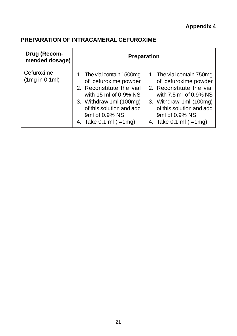# **Appendix 4**

# **PREPARATION OF INTRACAMERAL CEFUROXIME**

| Drug (Recom-<br>mended dosage) | <b>Preparation</b>                                                                                                                                                                                                                                                                                                                                                                                                                      |
|--------------------------------|-----------------------------------------------------------------------------------------------------------------------------------------------------------------------------------------------------------------------------------------------------------------------------------------------------------------------------------------------------------------------------------------------------------------------------------------|
| Cefuroxime<br>(1mg in 0.1ml)   | 1. The vial contain 1500mg<br>1. The vial contain 750mg<br>of cefuroxime powder<br>of cefuroxime powder<br>2. Reconstitute the vial<br>2. Reconstitute the vial<br>with 15 ml of $0.9\%$ NS<br>with $7.5$ ml of 0.9% NS<br>3. Withdraw 1ml (100mg)<br>3. Withdraw 1ml (100mg)<br>of this solution and add<br>of this solution and add<br>9ml of 0.9% NS<br>9ml of 0.9% NS<br>4. Take $0.1$ ml ( $=1$ mg)<br>4. Take $0.1$ ml ( $=1$ mg) |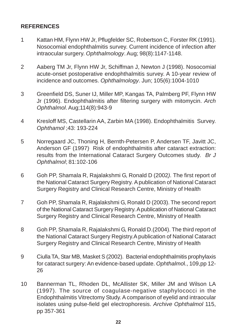#### **REFERENCES**

- 1 Kattan HM, Flynn HW Jr, Pflugfelder SC, Robertson C, Forster RK (1991). Nosocomial endophthalmitis survey. Current incidence of infection after intraocular surgery. Ophthalmology. Aug; 98(8):1147-1148.
- 2 Aaberg TM Jr, Flynn HW Jr, Schiffman J, Newton J (1998). Nosocomial acute-onset postoperative endophthalmitis survey. A 10-year review of incidence and outcomes. Ophthalmology. Jun; 105(6):1004-1010
- 3 Greenfield DS, Suner IJ, Miller MP, Kangas TA, Palmberg PF, Flynn HW Jr (1996). Endophthalmitis after filtering surgery with mitomycin. Arch Ophthalmol. Aug;114(8):943-9
- 4 Kresloff MS, Castellarin AA, Zarbin MA (1998). Endophthalmitis Survey. Ophthamol ;43: 193-224
- 5 Norregaard JC, Thoning H, Bernth-Petersen P, Andersen TF, Javitt JC, Anderson GF (1997). Risk of endophthalmitis after cataract extraction: results from the International Cataract Surgery Outcomes study. Br J Ophthalmol; 81:102-106
- 6 Goh PP, Shamala R, Rajalakshmi G, Ronald D (2002). The first report of the National Cataract Surgery Registry. A publication of National Cataract Surgery Registry and Clinical Research Centre, Ministry of Health
- 7 Goh PP, Shamala R, Rajalakshmi G, Ronald D (2003). The second report of the National Cataract Surgery Registry. A publication of National Cataract Surgery Registry and Clinical Research Centre, Ministry of Health
- 8 Goh PP, Shamala R, Rajalakshmi G, Ronald D.(2004). The third report of the National Cataract Surgery Registry.A publication of National Cataract Surgery Registry and Clinical Research Centre, Ministry of Health
- 9 Ciulla TA, Star MB, Masket S (2002). Bacterial endophthalmitis prophylaxis for cataract surgery: An evidence-based update. Ophthalmol., 109,pp 12- 26
- 10 Bannerman TL, Rhoden DL, McAllister SK, Miller JM and Wilson LA (1997). The source of coagulase-negative staphylococci in the Endophthalmitis Vitrectomy Study. A comparison of eyelid and intraocular isolates using pulse-field gel electrophoresis. Archive Ophthalmol 115, pp 357-361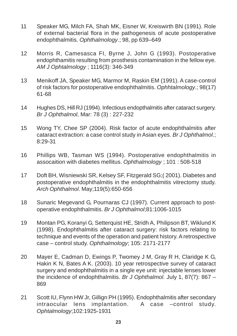- 11 Speaker MG, Milch FA, Shah MK, Eisner W, Kreiswirth BN (1991). Role of external bacterial flora in the pathogenesis of acute postoperative endophthalmitis. Ophthalmology.; 98, pp 639–649
- 12 Morris R, Camesasca FI, Byrne J, John G (1993). Postoperative endophthamitis resulting from prosthesis contamination in the fellow eye. AM J Ophtalmology ; 1116(3): 346-349
- 13 Menikoff JA, Speaker MG, Marmor M, Raskin EM (1991). A case-control of risk factors for postoperative endophthalmitis. Ophhtalmology.; 98(17) 61-68
- 14 Hughes DS, Hill RJ (1994). Infectious endopthalmitis after cataract surgery. Br J Ophthalmol, Mar: 78 (3) : 227-232
- 15 Wong TY, Chee SP (2004). Risk factor of acute endophthalmitis after cataract extraction: a case control study in Asian eyes. Br J Ophthalmol.; 8:29-31
- 16 Phillips WB, Tasman WS (1994). Postoperative endophthalmitis in assocaition with diabetes mellitus. Ophthalmology ; 101 : 508-518
- 17 Doft BH, Wisniewski SR, Kelsey SF, Fitzgerald SG;( 2001). Diabetes and postoperative endophthalmitis in the endophthalmitis vitrectomy study. Arch Ophthalmol. May;119(5):650-656
- 18 Sunaric Megevand G, Pournaras CJ (1997). Current approach to postoperative endophthalmitis. Br J Ophthalmol;81:1006-1015
- 19 Montan PG, Koranyi G, Setterquist HE, Stridh A, Philipson BT, Wiklund K (1998). Endophthalmitis after cataract surgery: risk factors relating to technique and events of the operation and patient history. A retrospective case – control study. Ophthalmology; 105: 2171-2177
- 20 Mayer E, Cadman D, Ewings P, Twomey J M, Gray R H, Claridge K G, Hakin K N, Bates A K. (2003). 10 year retrospective survey of cataract surgery and endophthalmitis in a single eye unit: injectable lenses lower the incidence of endophthalmitis. Br J Ophthalmol. July 1, 87(7): 867 – 869
- 21 Scott IU, Flynn HW Jr, Gillign PH (1995). Endophthalmitis after secondary intraocular lens implantation. A case –control study. Ophtalmology;102:1925-1931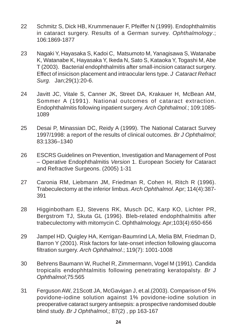- 22 Schmitz S, Dick HB, Krummenauer F, Pfeiffer N (1999). Endophthalmitis in cataract surgery. Results of a German survey. Ophthalmology.; 106:1869-1877
- 23 Nagaki Y, Hayasaka S, Kadoi C, Matsumoto M, Yanagisawa S, Watanabe K, Watanabe K, Hayasaka Y, Ikeda N, Sato S, Kataoka Y, Togashi M, Abe T (2003). Bacterial endophthalmitis after small-incision cataract surgery. Effect of insicison placement and intraocular lens type. J Cataract Refract Surg. Jan;29(1):20-6.
- 24 Javitt JC, Vitale S, Canner JK, Street DA, Krakauer H, McBean AM, Sommer A (1991). National outcomes of cataract extraction. Endophthalmitis following inpatient surgery. Arch Ophthalmol.; 109:1085- 1089
- 25 Desai P, Minassian DC, Reidy A (1999). The National Cataract Survey 1997/1998: a report of the results of clinical outcomes. Br J Ophthalmol; 83:1336–1340
- 26 ESCRS Guidelines on Prevention, Investigation and Management of Post – Operative Endophthalmitis Version 1. European Society for Cataract and Refractive Surgeons. (2005) 1-31
- 27 Caronia RM, Liebmann JM, Friedman R, Cohen H, Ritch R (1996). Trabeculectomy at the inferior limbus. Arch Ophthalmol. Apr; 114(4):387- 391
- 28 Higginbotham EJ, Stevens RK, Musch DC, Karp KO, Lichter PR, Bergstrom TJ, Skuta GL (1996). Bleb-related endophthalmitis after trabeculectomy with mitomycin C. Ophthalmology. Apr;103(4):650-656
- 29 Jampel HD, Quigley HA, Kerrigan-Baumrind LA, Melia BM, Friedman D, Barron Y (2001). Risk factors for late-onset infection following glaucoma filtration surgery. Arch Ophthalmol.; 119(7): 1001-1008
- 30 Behrens Baumann W, Ruchel R, Zimmermann, Vogel M (1991). Candida tropicalis endophhtalmitis following penetrating keratopalsty. Br J Ophthalmol;75:565
- 31 Ferguson AW, 21Scott JA, McGavigan J, et.al.(2003). Comparison of 5% povidone-iodine solution against 1% povidone-iodine solution in preoperative cataract surgery antisepsis: a prospective randomised double blind study. Br J Ophthalmol,; 87(2) , pp 163-167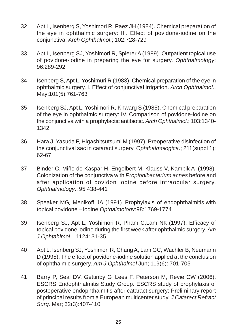- 32 Apt L, Isenberg S, Yoshimori R, Paez JH (1984). Chemical preparation of the eye in ophthalmic surgery: III. Effect of povidone-iodine on the conjunctiva. Arch Ophthalmol.; 102:728-729
- 33 Apt L, Isenberg SJ, Yoshimori R, Spierer A (1989). Outpatient topical use of povidone-iodine in preparing the eye for surgery. Ophthalmology; 96:289-292
- 34 Isenberg S, Apt L, Yoshimuri R (1983). Chemical preparation of the eye in ophthalmic surgery. I. Effect of conjunctival irrigation. Arch Ophthalmol.. May;101(5):761-763
- 35 Isenberg SJ, Apt L, Yoshimori R, Khwarg S (1985). Chemical preparation of the eye in ophthalmic surgery: IV. Comparison of povidone-iodine on the conjunctiva with a prophylactic antibiotic. Arch Ophthalmol.; 103:1340- 1342
- 36 Hara J, Yasuda F, Higashitsutsumi M (1997). Preoperative disinfection of the conjunctival sac in cataract surgery. Ophthalmologica.; 211(suppl 1): 62-67
- 37 Binder C, Miño de Kaspar H, Engelbert M, Klauss V, Kampik A (1998). Colonization of the conjunctiva with Propionibacterium acnes before and after application of povidon iodine before intraocular surgery. Ophthalmology.; 95:438-441
- 38 Speaker MG, Menikoff JA (1991). Prophylaxis of endophthalmitis with topical povidone – iodine.Opthalmology:98:1769-1774
- 39 Isenberg SJ, Apt L, Yoshimori R, Pham C,Lam NK.(1997). Efficacy of topical povidone iodine during the first week after ophthalmic surgery. Am J Ophtahlmol. , 1124: 31-35
- 40 Apt L, Isenberg SJ, Yoshimori R, Chang A, Lam GC, Wachler B, Neumann D (1995). The effect of povidone-iodine solution applied at the conclusion of ophthalmic surgery. Am J Ophthalmol Jun; 119(6): 701-705
- 41 Barry P, Seal DV, Gettinby G, Lees F, Peterson M, Revie CW (2006). ESCRS Endophthalmitis Study Group. ESCRS study of prophylaxis of postoperative endophthalmitis after cataract surgery: Preliminary report of principal results from a European multicenter study. J Cataract Refract Surg. Mar; 32(3):407-410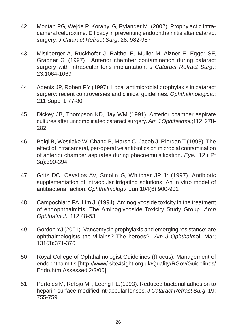- 42 Montan PG, Wejde P, Koranyi G, Rylander M. (2002). Prophylactic intracameral cefuroxime. Efficacy in preventing endophthalmitis after cataract surgery. J Cataract Refract Surg, 28: 982-987
- 43 Mistlberger A, Ruckhofer J, Raithel E, Muller M, Alzner E, Egger SF, Grabner G. (1997) . Anterior chamber contamination during cataract surgery with intraocular lens implantation. J Cataract Refract Surg.; 23:1064-1069
- 44 Adenis JP, Robert PY (1997). Local antimicrobial prophylaxis in cataract surgery: recent controversies and clinical guidelines. Ophthalmologica.; 211 Suppl 1:77-80
- 45 Dickey JB, Thompson KD, Jay WM (1991). Anterior chamber aspirate cultures after uncomplicated cataract surgery. Am J Ophthalmol.;112: 278- 282
- 46 Beigi B, Westlake W, Chang B, Marsh C, Jacob J, Riordan T (1998). The effect of intracameral, per-operative antibiotics on microbial contamination of anterior chamber aspirates during phacoemulsification. Eye.; 12 ( Pt 3a):390-394
- 47 Gritz DC, Cevallos AV, Smolin G, Whitcher JP Jr (1997). Antibiotic supplementation of intraocular irrigating solutions. An in vitro model of antibacteria l action. Ophthalmology. Jun;104(6):900-901
- 48 Campochiaro PA, Lim JI (1994). Aminoglycoside toxicity in the treatment of endophthalmitis. The Aminoglycoside Toxicity Study Group. Arch Ophthalmol.; 112:48-53
- 49 Gordon YJ (2001). Vancomycin prophylaxis and emerging resistance: are ophthalmologists the villains? The heroes? Am J Ophthalmol. Mar; 131(3):371-376
- 50 Royal College of Ophthalmologist Guidelines ((Focus). Management of endophthalmitis.[http://www/.site4sight.org.uk/Quality/RGov/Guidelines/ Endo.htm.Assessed 2/3/06]
- 51 Portoles M, Refojo MF, Leong FL.(1993). Reduced bacterial adhesion to heparin-surface-modified intraocular lenses. J Cataract Refract Surg, 19: 755-759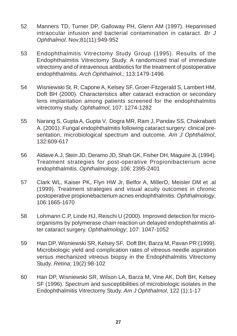- 52 Manners TD, Turner DP, Galloway PH, Glenn AM (1997). Heparinised intraocular infusion and bacterial contamination in cataract. Br J Ophthalmol. Nov;81(11):949-952
- 53 Endophthalmitis Vitrectomy Study Group (1995). Results of the Endophthalmitis Vitrectomy Study. A randomized trial of immediate vitrectomy and of intravenous antibiotics for the treatment of postoperative endophthalmitis. Arch Ophthalmol,; 113:1479-1496
- 54 Wisniewski St. R, Capone A, Kelsey SF, Groer-Fitzgerald S, Lambert HM, Doft BH (2000). Characteristics after cataract extraction or secondary lens implantation among patients screened for the endophthalmitis vitrectomy study. Ophthalmol, 107: 1274-1282
- 55 Narang S, Gupta A, Gupta V, Dogra MR, Ram J, Pandav SS, Chakrabarti A. (2001). Fungal endophthalmitis following cataract surgery: clinical presentation, microbiological spectrum and outcome. Am J Ophthalmol, 132:609-617
- 56 Aldave A.J, Stein JD, Deramo JD, Shah GK, Fisher DH, Maguire JL (1994). Treatment strategies for post-operative Propionibacterium acne endophthalmitis. Ophthalmology, 106: 2395-2401
- 57 Clark WL, Kaiser PK, Flyn HW Jr, Belfor A, MillerD, Meisler DM et .al (1999). Treatment strategies and visual acuity outcomes in chronic postoperative propionebacterium acnes endophthalmitis. Ophthalmology, 106:1665-1670
- 58 Lohmann C.P, Linde HJ, Reischi U (2000). Improved detection for microorganisms by polymerase chain reaction un delayed endophthalmitis after cataract surgery. Ophthalmology; 107: 1047-1052
- 59 Han DP, Wisniewski SR, Kelsey SF, Doft BH, Barza M, Pavan PR (1999). Microbiologic yield and complication rates of vitreous needle aspiration versus mechanized vitreous biopsy in the Endophthalmitis Vitrectomy Study. Retina; 19(2):98-102
- 60 Han DP, Wisniewski SR, Wilson LA, Barza M, Vine AK, Doft BH, Kelsey SF (1996). Spectrum and susceptibilities of microbiologic isolates in the Endophthalmitis Vitrectomy Study. Am J Ophthalmol, 122 (1):1-17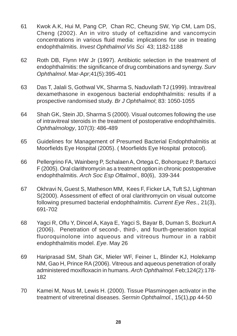- 61 Kwok A.K, Hui M, Pang CP, Chan RC, Cheung SW, Yip CM, Lam DS, Cheng (2002). An in vitro study of ceftazidine and vancomycin concentrations in various fluid media: implications for use in treating endophthalmitis. Invest Ophthalmol Vis Sci 43; 1182-1188
- 62 Roth DB, Flynn HW Jr (1997). Antibiotic selection in the treatment of endophthalmitis: the significance of drug combinations and synergy. Surv Ophthalmol. Mar-Apr;41(5):395-401
- 63 Das T, Jalali S, Gothwal VK, Sharma S, Naduvilath TJ (1999). Intravitreal dexamethasone in exogenous bacterial endophthalmitis: results if a prospective randomised study. Br J Ophthalmol; 83: 1050-1055
- 64 Shah GK, Stein JD, Sharma S (2000). Visual outcomes following the use of intravitreal steroids in the treatment of postoperative endophthalmitis. Ophthalmology, 107(3): 486-489
- 65 Guidelines for Management of Presumed Bacterial Endophthalmitis at Moorfields Eye Hospital (2005). ( Moorfields Eye Hospital protocol).
- 66 Pellergrino FA, Wainberg P, Schalaen A, Ortega C, Bohorquez P, Bartucci F (2005). Oral clarithromycin as a treatment option in chronic postoperative endophthalmitis. Arch Soc Esp Oftalmol., 80(6), 339-344
- 67 Okhravi N, Guest S, Matheson MM, Kees F, Ficker LA, Tuft SJ, Lightman S(2000). Assessment of effect of oral clarithromycin on visual outcome following presumed bacterial endophthalmitis. Current Eye Res., 21(3), 691-702
- 68 Yagci R, Oflu Y, Dincel A, Kaya E, Yagci S, Bayar B, Duman S, Bozkurt A (2006). Penetration of second-, third-, and fourth-generation topical fluoroquinolone into aqueous and vitreous humour in a rabbit endophthalmitis model. Eye. May 26
- 69 Hariprasad SM, Shah GK, Mieler WF, Feiner L, Blinder KJ, Holekamp NM, Gao H, Prince RA (2006). Vitreous and aqueous penetration of orally administered moxifloxacin in humans. Arch Ophthalmol. Feb;124(2):178- 182
- 70 Kamei M, Nous M, Lewis H. (2000). Tissue Plasminogen activator in the treatment of vitreretinal diseases. Sermin Ophthalmol., 15(1),pp 44-50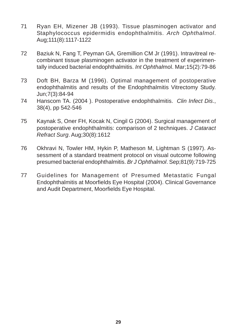- 71 Ryan EH, Mizener JB (1993). Tissue plasminogen activator and Staphylococcus epidermidis endophthalmitis. Arch Ophthalmol. Aug;111(8):1117-1122
- 72 Baziuk N, Fang T, Peyman GA, Gremillion CM Jr (1991). Intravitreal recombinant tissue plasminogen activator in the treatment of experimentally induced bacterial endophthalmitis. Int Ophthalmol. Mar;15(2):79-86
- 73 Doft BH, Barza M (1996). Optimal management of postoperative endophthalmitis and results of the Endophthalmitis Vitrectomy Study. Jun;7(3):84-94
- 74 Hanscom TA. (2004). Postoperative endophthalmitis. Clin Infect Dis., 38(4), pp 542-546
- 75 Kaynak S, Oner FH, Kocak N, Cingil G (2004). Surgical management of postoperative endophthalmitis: comparison of 2 techniques. J Cataract Refract Surg. Aug;30(8):1612
- 76 Okhravi N, Towler HM, Hykin P, Matheson M, Lightman S (1997). Assessment of a standard treatment protocol on visual outcome following presumed bacterial endophthalmitis. Br J Ophthalmol. Sep;81(9):719-725
- 77 Guidelines for Management of Presumed Metastatic Fungal Endophthalmitis at Moorfields Eye Hospital (2004). Clinical Governance and Audit Department, Moorfields Eye Hospital.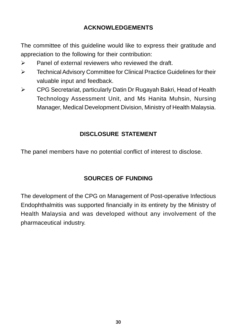# **ACKNOWLEDGEMENTS**

The committee of this guideline would like to express their gratitude and appreciation to the following for their contribution:

- $\triangleright$  Panel of external reviewers who reviewed the draft.
- **EXEC** Technical Advisory Committee for Clinical Practice Guidelines for their valuable input and feedback.
- $\triangleright$  CPG Secretariat, particularly Datin Dr Rugayah Bakri, Head of Health Technology Assessment Unit, and Ms Hanita Muhsin, Nursing Manager, Medical Development Division, Ministry of Health Malaysia.

# **DISCLOSURE STATEMENT**

The panel members have no potential conflict of interest to disclose.

# **SOURCES OF FUNDING**

The development of the CPG on Management of Post-operative Infectious Endophthalmitis was supported financially in its entirety by the Ministry of Health Malaysia and was developed without any involvement of the pharmaceutical industry.